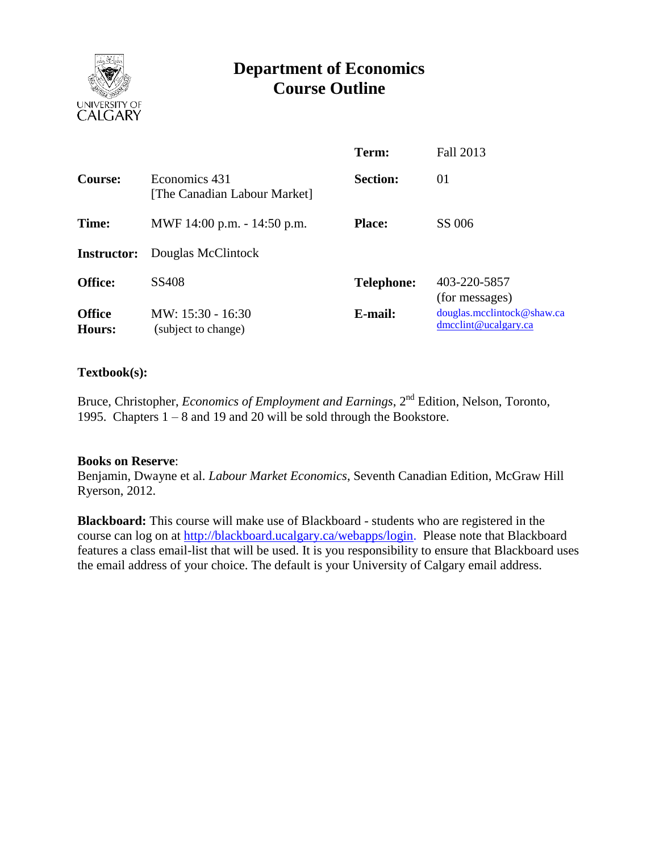

# **Department of Economics Course Outline**

|                         |                                               | Term:             | Fall 2013                                          |
|-------------------------|-----------------------------------------------|-------------------|----------------------------------------------------|
| <b>Course:</b>          | Economics 431<br>[The Canadian Labour Market] | <b>Section:</b>   | 01                                                 |
| Time:                   | MWF 14:00 p.m. - 14:50 p.m.                   | <b>Place:</b>     | SS 006                                             |
| <b>Instructor:</b>      | Douglas McClintock                            |                   |                                                    |
| <b>Office:</b>          | SS408                                         | <b>Telephone:</b> | 403-220-5857<br>(for messages)                     |
| <b>Office</b><br>Hours: | MW: 15:30 - 16:30<br>(subject to change)      | E-mail:           | douglas.mcelintock@shaw.ca<br>dmcclint@ucalgary.ca |

#### **Textbook(s):**

Bruce, Christopher, *Economics of Employment and Earnings*, 2<sup>nd</sup> Edition, Nelson, Toronto, 1995. Chapters 1 – 8 and 19 and 20 will be sold through the Bookstore.

#### **Books on Reserve**:

Benjamin, Dwayne et al. *Labour Market Economics*, Seventh Canadian Edition, McGraw Hill Ryerson, 2012.

**Blackboard:** This course will make use of Blackboard - students who are registered in the course can log on at [http://blackboard.ucalgary.ca/webapps/login.](http://blackboard.ucalgary.ca/webapps/login) Please note that Blackboard features a class email-list that will be used. It is you responsibility to ensure that Blackboard uses the email address of your choice. The default is your University of Calgary email address.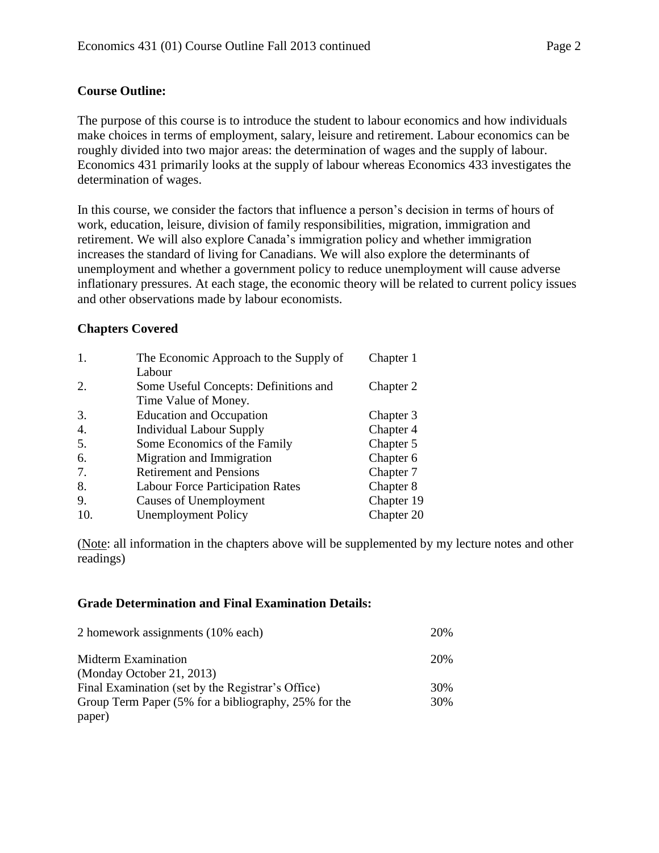# **Course Outline:**

The purpose of this course is to introduce the student to labour economics and how individuals make choices in terms of employment, salary, leisure and retirement. Labour economics can be roughly divided into two major areas: the determination of wages and the supply of labour. Economics 431 primarily looks at the supply of labour whereas Economics 433 investigates the determination of wages.

In this course, we consider the factors that influence a person's decision in terms of hours of work, education, leisure, division of family responsibilities, migration, immigration and retirement. We will also explore Canada's immigration policy and whether immigration increases the standard of living for Canadians. We will also explore the determinants of unemployment and whether a government policy to reduce unemployment will cause adverse inflationary pressures. At each stage, the economic theory will be related to current policy issues and other observations made by labour economists.

# **Chapters Covered**

| 1.  | The Economic Approach to the Supply of  | Chapter 1  |
|-----|-----------------------------------------|------------|
|     | Labour                                  |            |
| 2.  | Some Useful Concepts: Definitions and   | Chapter 2  |
|     | Time Value of Money.                    |            |
| 3.  | <b>Education and Occupation</b>         | Chapter 3  |
| 4.  | <b>Individual Labour Supply</b>         | Chapter 4  |
| 5.  | Some Economics of the Family            | Chapter 5  |
| 6.  | Migration and Immigration               | Chapter 6  |
| 7.  | <b>Retirement and Pensions</b>          | Chapter 7  |
| 8.  | <b>Labour Force Participation Rates</b> | Chapter 8  |
| 9.  | <b>Causes of Unemployment</b>           | Chapter 19 |
| 10. | <b>Unemployment Policy</b>              | Chapter 20 |

(Note: all information in the chapters above will be supplemented by my lecture notes and other readings)

#### **Grade Determination and Final Examination Details:**

| 2 homework assignments (10% each)                    | 20% |
|------------------------------------------------------|-----|
| Midterm Examination                                  | 20% |
| (Monday October 21, 2013)                            |     |
| Final Examination (set by the Registrar's Office)    | 30% |
| Group Term Paper (5% for a bibliography, 25% for the | 30% |
| paper)                                               |     |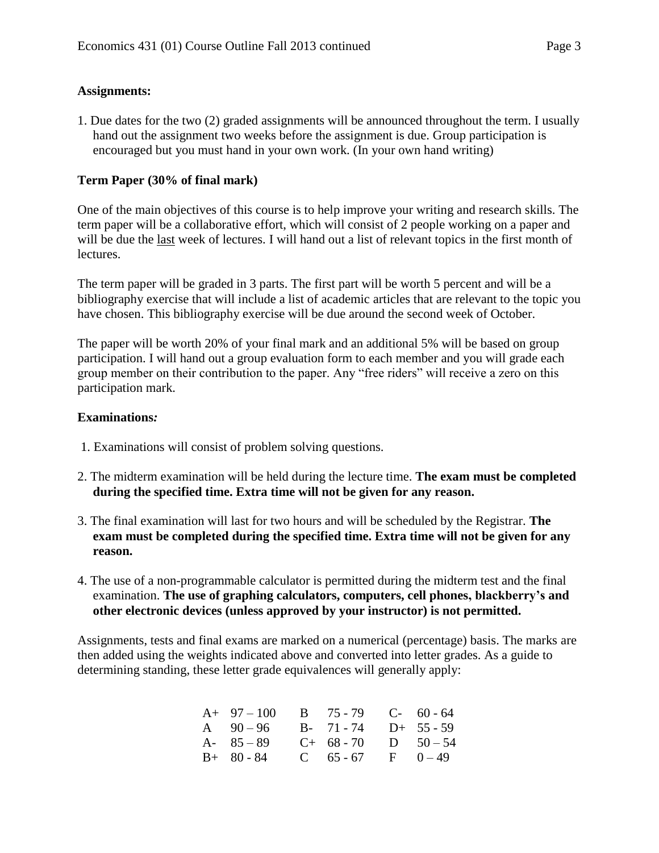#### **Assignments:**

1. Due dates for the two (2) graded assignments will be announced throughout the term. I usually hand out the assignment two weeks before the assignment is due. Group participation is encouraged but you must hand in your own work. (In your own hand writing)

# **Term Paper (30% of final mark)**

One of the main objectives of this course is to help improve your writing and research skills. The term paper will be a collaborative effort, which will consist of 2 people working on a paper and will be due the last week of lectures. I will hand out a list of relevant topics in the first month of lectures.

The term paper will be graded in 3 parts. The first part will be worth 5 percent and will be a bibliography exercise that will include a list of academic articles that are relevant to the topic you have chosen. This bibliography exercise will be due around the second week of October.

The paper will be worth 20% of your final mark and an additional 5% will be based on group participation. I will hand out a group evaluation form to each member and you will grade each group member on their contribution to the paper. Any "free riders" will receive a zero on this participation mark.

#### **Examinations***:*

- 1. Examinations will consist of problem solving questions.
- 2. The midterm examination will be held during the lecture time. **The exam must be completed during the specified time. Extra time will not be given for any reason.**
- 3. The final examination will last for two hours and will be scheduled by the Registrar. **The exam must be completed during the specified time. Extra time will not be given for any reason.**
- 4. The use of a non-programmable calculator is permitted during the midterm test and the final examination. **The use of graphing calculators, computers, cell phones, blackberry's and other electronic devices (unless approved by your instructor) is not permitted.**

Assignments, tests and final exams are marked on a numerical (percentage) basis. The marks are then added using the weights indicated above and converted into letter grades. As a guide to determining standing, these letter grade equivalences will generally apply:

| $A+ 97-100$ B $75-79$ C- 60-64  |                      |  |
|---------------------------------|----------------------|--|
| A $90-96$ B- $71-74$ D+ $55-59$ |                      |  |
| A- $85 - 89$                    | $C+ 68-70$ D $50-54$ |  |
| $B+ 80 - 84$                    | C $65-67$ F $0-49$   |  |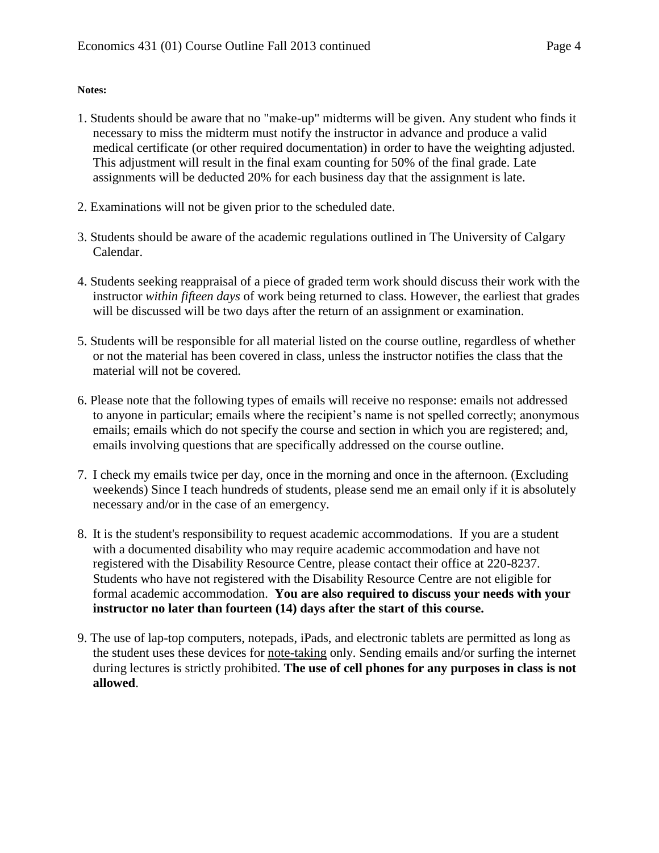# **Notes:**

- 1. Students should be aware that no "make-up" midterms will be given. Any student who finds it necessary to miss the midterm must notify the instructor in advance and produce a valid medical certificate (or other required documentation) in order to have the weighting adjusted. This adjustment will result in the final exam counting for 50% of the final grade. Late assignments will be deducted 20% for each business day that the assignment is late.
- 2. Examinations will not be given prior to the scheduled date.
- 3. Students should be aware of the academic regulations outlined in The University of Calgary Calendar.
- 4. Students seeking reappraisal of a piece of graded term work should discuss their work with the instructor *within fifteen days* of work being returned to class. However, the earliest that grades will be discussed will be two days after the return of an assignment or examination.
- 5. Students will be responsible for all material listed on the course outline, regardless of whether or not the material has been covered in class, unless the instructor notifies the class that the material will not be covered.
- 6. Please note that the following types of emails will receive no response: emails not addressed to anyone in particular; emails where the recipient's name is not spelled correctly; anonymous emails; emails which do not specify the course and section in which you are registered; and, emails involving questions that are specifically addressed on the course outline.
- 7. I check my emails twice per day, once in the morning and once in the afternoon. (Excluding weekends) Since I teach hundreds of students, please send me an email only if it is absolutely necessary and/or in the case of an emergency.
- 8. It is the student's responsibility to request academic accommodations. If you are a student with a documented disability who may require academic accommodation and have not registered with the Disability Resource Centre, please contact their office at 220-8237. Students who have not registered with the Disability Resource Centre are not eligible for formal academic accommodation. **You are also required to discuss your needs with your instructor no later than fourteen (14) days after the start of this course.**
- 9. The use of lap-top computers, notepads, iPads, and electronic tablets are permitted as long as the student uses these devices for note-taking only. Sending emails and/or surfing the internet during lectures is strictly prohibited. **The use of cell phones for any purposes in class is not allowed**.